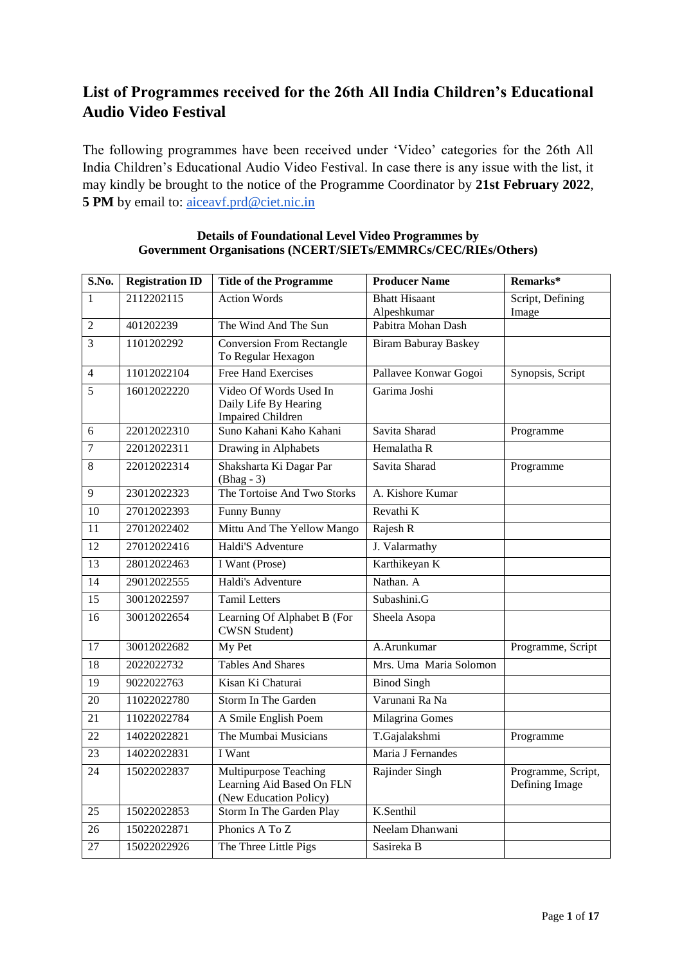# **List of Programmes received for the 26th All India Children's Educational Audio Video Festival**

The following programmes have been received under 'Video' categories for the 26th All India Children's Educational Audio Video Festival. In case there is any issue with the list, it may kindly be brought to the notice of the Programme Coordinator by **21st February 2022**, 5 PM by email to: aiceavf.prd@ciet.nic.in

| S.No.           | <b>Registration ID</b> | <b>Title of the Programme</b>                                                | <b>Producer Name</b>                | Remarks*                             |
|-----------------|------------------------|------------------------------------------------------------------------------|-------------------------------------|--------------------------------------|
| 1               | 2112202115             | <b>Action Words</b>                                                          | <b>Bhatt Hisaant</b><br>Alpeshkumar | Script, Defining<br>Image            |
| $\overline{2}$  | 401202239              | The Wind And The Sun                                                         | Pabitra Mohan Dash                  |                                      |
| $\overline{3}$  | 1101202292             | <b>Conversion From Rectangle</b><br>To Regular Hexagon                       | <b>Biram Baburay Baskey</b>         |                                      |
| $\overline{4}$  | 11012022104            | <b>Free Hand Exercises</b>                                                   | Pallavee Konwar Gogoi               | Synopsis, Script                     |
| $\overline{5}$  | 16012022220            | Video Of Words Used In<br>Daily Life By Hearing<br><b>Impaired Children</b>  | Garima Joshi                        |                                      |
| 6               | 22012022310            | Suno Kahani Kaho Kahani                                                      | Savita Sharad                       | Programme                            |
| 7               | 22012022311            | Drawing in Alphabets                                                         | Hemalatha R                         |                                      |
| 8               | 22012022314            | Shaksharta Ki Dagar Par<br>$(Bhag - 3)$                                      | Savita Sharad                       | Programme                            |
| 9               | 23012022323            | The Tortoise And Two Storks                                                  | A. Kishore Kumar                    |                                      |
| 10              | 27012022393            | Funny Bunny                                                                  | Revathi K                           |                                      |
| 11              | 27012022402            | Mittu And The Yellow Mango                                                   | Rajesh R                            |                                      |
| 12              | 27012022416            | Haldi'S Adventure                                                            | J. Valarmathy                       |                                      |
| 13              | 28012022463            | I Want (Prose)                                                               | Karthikeyan K                       |                                      |
| 14              | 29012022555            | Haldi's Adventure                                                            | Nathan. A                           |                                      |
| 15              | 30012022597            | <b>Tamil Letters</b>                                                         | Subashini.G                         |                                      |
| 16              | 30012022654            | Learning Of Alphabet B (For<br><b>CWSN Student)</b>                          | Sheela Asopa                        |                                      |
| $\overline{17}$ | 30012022682            | My Pet                                                                       | A.Arunkumar                         | Programme, Script                    |
| 18              | 2022022732             | <b>Tables And Shares</b>                                                     | Mrs. Uma Maria Solomon              |                                      |
| 19              | 9022022763             | Kisan Ki Chaturai                                                            | <b>Binod Singh</b>                  |                                      |
| 20              | 11022022780            | Storm In The Garden                                                          | Varunani Ra Na                      |                                      |
| 21              | 11022022784            | A Smile English Poem                                                         | Milagrina Gomes                     |                                      |
| 22              | 14022022821            | The Mumbai Musicians                                                         | T.Gajalakshmi                       | Programme                            |
| 23              | 14022022831            | I Want                                                                       | Maria J Fernandes                   |                                      |
| 24              | 15022022837            | Multipurpose Teaching<br>Learning Aid Based On FLN<br>(New Education Policy) | Rajinder Singh                      | Programme, Script,<br>Defining Image |
| 25              | 15022022853            | Storm In The Garden Play                                                     | K.Senthil                           |                                      |
| 26              | 15022022871            | Phonics A To Z                                                               | Neelam Dhanwani                     |                                      |
| $\overline{27}$ | 15022022926            | The Three Little Pigs                                                        | Sasireka B                          |                                      |

### **Details of Foundational Level Video Programmes by Government Organisations (NCERT/SIETs/EMMRCs/CEC/RIEs/Others)**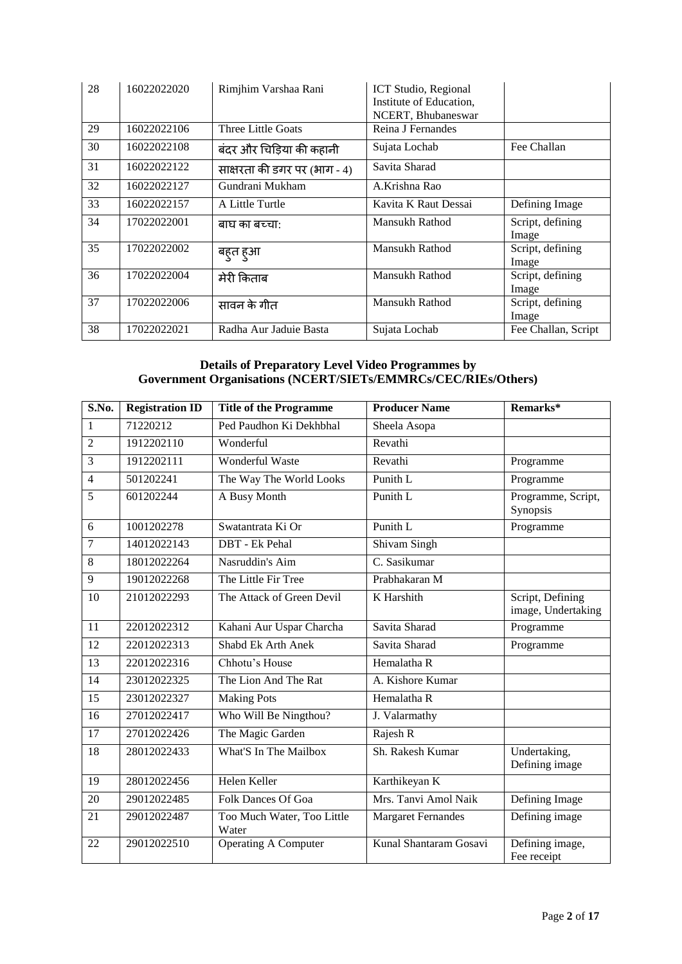| 28 | 16022022020 | Rimjhim Varshaa Rani         | ICT Studio, Regional<br>Institute of Education,<br>NCERT, Bhubaneswar |                           |
|----|-------------|------------------------------|-----------------------------------------------------------------------|---------------------------|
| 29 | 16022022106 | Three Little Goats           | Reina J Fernandes                                                     |                           |
| 30 | 16022022108 | बंदर और चिड़िया की कहानी     | Sujata Lochab                                                         | Fee Challan               |
| 31 | 16022022122 | साक्षरता की डगर पर (भाग - 4) | Savita Sharad                                                         |                           |
| 32 | 16022022127 | Gundrani Mukham              | A.Krishna Rao                                                         |                           |
| 33 | 16022022157 | A Little Turtle              | Kavita K Raut Dessai                                                  | Defining Image            |
| 34 | 17022022001 | बाघ का बच्चा:                | Mansukh Rathod                                                        | Script, defining<br>Image |
| 35 | 17022022002 | बहुत हुआ                     | Mansukh Rathod                                                        | Script, defining<br>Image |
| 36 | 17022022004 | मेरी किताब                   | Mansukh Rathod                                                        | Script, defining<br>Image |
| 37 | 17022022006 | सावन के गीत                  | Mansukh Rathod                                                        | Script, defining<br>Image |
| 38 | 17022022021 | Radha Aur Jaduie Basta       | Sujata Lochab                                                         | Fee Challan, Script       |

#### **Details of Preparatory Level Video Programmes by Government Organisations (NCERT/SIETs/EMMRCs/CEC/RIEs/Others)**

| S.No.           | <b>Registration ID</b> | <b>Title of the Programme</b>       | <b>Producer Name</b>       | Remarks*                               |
|-----------------|------------------------|-------------------------------------|----------------------------|----------------------------------------|
| $\mathbf{1}$    | 71220212               | Ped Paudhon Ki Dekhbhal             | Sheela Asopa               |                                        |
| $\overline{2}$  | 1912202110             | Wonderful                           | Revathi                    |                                        |
| $\overline{3}$  | 1912202111             | <b>Wonderful Waste</b>              | Revathi                    | Programme                              |
| $\overline{4}$  | 501202241              | The Way The World Looks             | Punith L                   | Programme                              |
| 5               | 601202244              | A Busy Month                        | Punith L                   | Programme, Script,<br>Synopsis         |
| 6               | 1001202278             | Swatantrata Ki Or                   | Punith L                   | Programme                              |
| $\tau$          | 14012022143            | DBT - Ek Pehal                      | Shivam Singh               |                                        |
| 8               | 18012022264            | Nasruddin's Aim                     | $\overline{C}$ . Sasikumar |                                        |
| $\overline{9}$  | 19012022268            | The Little Fir Tree                 | Prabhakaran M              |                                        |
| 10              | 21012022293            | The Attack of Green Devil           | K Harshith                 | Script, Defining<br>image, Undertaking |
| 11              | 22012022312            | Kahani Aur Uspar Charcha            | Savita Sharad              | Programme                              |
| 12              | 22012022313            | Shabd Ek Arth Anek                  | Savita Sharad              | Programme                              |
| 13              | 22012022316            | Chhotu's House                      | Hemalatha R                |                                        |
| 14              | 23012022325            | The Lion And The Rat                | A. Kishore Kumar           |                                        |
| $\overline{15}$ | 23012022327            | <b>Making Pots</b>                  | Hemalatha R                |                                        |
| 16              | 27012022417            | Who Will Be Ningthou?               | J. Valarmathy              |                                        |
| 17              | 27012022426            | The Magic Garden                    | Rajesh R                   |                                        |
| $\overline{18}$ | 28012022433            | What'S In The Mailbox               | Sh. Rakesh Kumar           | Undertaking,<br>Defining image         |
| 19              | 28012022456            | Helen Keller                        | Karthikeyan K              |                                        |
| 20              | 29012022485            | Folk Dances Of Goa                  | Mrs. Tanvi Amol Naik       | Defining Image                         |
| 21              | 29012022487            | Too Much Water, Too Little<br>Water | <b>Margaret Fernandes</b>  | Defining image                         |
| 22              | 29012022510            | <b>Operating A Computer</b>         | Kunal Shantaram Gosavi     | Defining image,<br>Fee receipt         |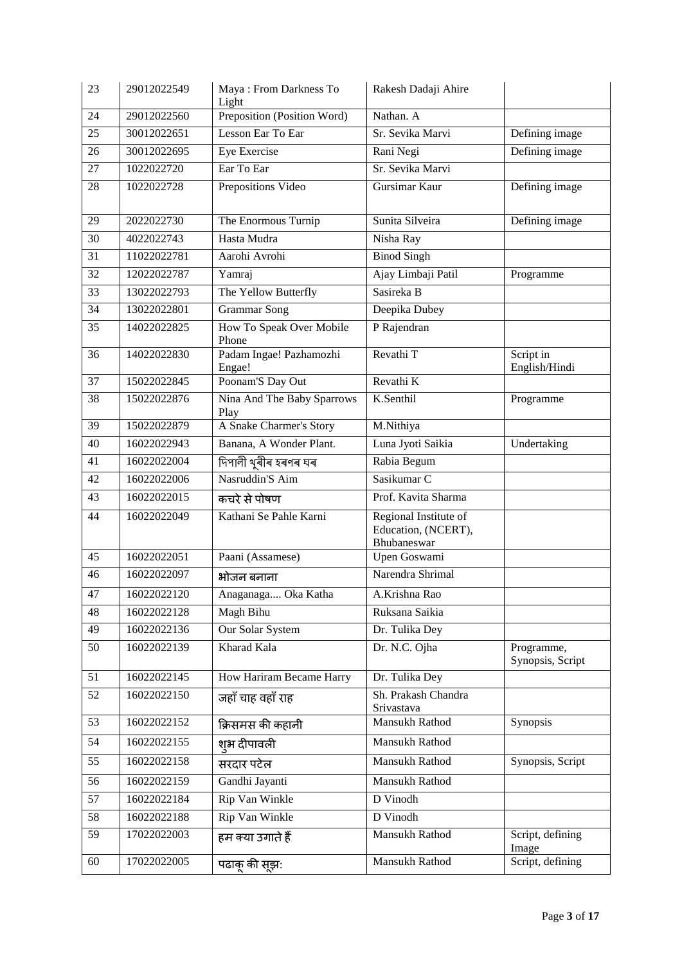| 23              | 29012022549 | Maya: From Darkness To<br>Light    | Rakesh Dadaji Ahire                                         |                                |
|-----------------|-------------|------------------------------------|-------------------------------------------------------------|--------------------------------|
| 24              | 29012022560 | Preposition (Position Word)        | Nathan. A                                                   |                                |
| 25              | 30012022651 | Lesson Ear To Ear                  | Sr. Sevika Marvi                                            | Defining image                 |
| 26              | 30012022695 | Eye Exercise                       | Rani Negi                                                   | Defining image                 |
| 27              | 1022022720  | Ear To Ear                         | Sr. Sevika Marvi                                            |                                |
| 28              | 1022022728  | Prepositions Video                 | Gursimar Kaur                                               | Defining image                 |
| 29              | 2022022730  | The Enormous Turnip                | Sunita Silveira                                             | Defining image                 |
| 30              | 4022022743  | Hasta Mudra                        | Nisha Ray                                                   |                                |
| 31              | 11022022781 | Aarohi Avrohi                      | <b>Binod Singh</b>                                          |                                |
| 32              | 12022022787 | Yamraj                             | Ajay Limbaji Patil                                          | Programme                      |
| 33              | 13022022793 | The Yellow Butterfly               | Sasireka B                                                  |                                |
| 34              | 13022022801 | <b>Grammar Song</b>                | Deepika Dubey                                               |                                |
| 35              | 14022022825 | How To Speak Over Mobile<br>Phone  | P Rajendran                                                 |                                |
| 36              | 14022022830 | Padam Ingae! Pazhamozhi<br>Engae!  | Revathi T                                                   | Script in<br>English/Hindi     |
| 37              | 15022022845 | Poonam'S Day Out                   | Revathi K                                                   |                                |
| 38              | 15022022876 | Nina And The Baby Sparrows<br>Play | K.Senthil                                                   | Programme                      |
| 39              | 15022022879 | A Snake Charmer's Story            | M.Nithiya                                                   |                                |
| 40              | 16022022943 | Banana, A Wonder Plant.            | Luna Jyoti Saikia                                           | Undertaking                    |
| 41              | 16022022004 | দিপালী থুৰীৰ হৰণৰ ঘৰ               | Rabia Begum                                                 |                                |
| 42              | 16022022006 | Nasruddin'S Aim                    | Sasikumar <sub>C</sub>                                      |                                |
| 43              | 16022022015 | कचरे से पोषण                       | Prof. Kavita Sharma                                         |                                |
| 44              | 16022022049 | Kathani Se Pahle Karni             | Regional Institute of<br>Education, (NCERT),<br>Bhubaneswar |                                |
| 45              | 16022022051 | Paani (Assamese)                   | Upen Goswami                                                |                                |
| 46              | 16022022097 | भोजन बनाना                         | Narendra Shrimal                                            |                                |
| 47              | 16022022120 | Anaganaga Oka Katha                | A.Krishna Rao                                               |                                |
| 48              | 16022022128 | Magh Bihu                          | Ruksana Saikia                                              |                                |
| 49              | 16022022136 | Our Solar System                   | Dr. Tulika Dey                                              |                                |
| 50              | 16022022139 | Kharad Kala                        | Dr. N.C. Ojha                                               | Programme,<br>Synopsis, Script |
| 51              | 16022022145 | How Hariram Became Harry           | Dr. Tulika Dey                                              |                                |
| 52              | 16022022150 | जहाँ चाह वहाँ राह                  | Sh. Prakash Chandra<br>Srivastava                           |                                |
| 53              | 16022022152 | क्रिसमस की कहानी                   | Mansukh Rathod                                              | Synopsis                       |
| 54              | 16022022155 | श्# दीपावली                        | Mansukh Rathod                                              |                                |
| 55              | 16022022158 | सरदार पटेल                         | Mansukh Rathod                                              | Synopsis, Script               |
| 56              | 16022022159 | Gandhi Jayanti                     | Mansukh Rathod                                              |                                |
| 57              | 16022022184 | Rip Van Winkle                     | D Vinodh                                                    |                                |
| 58              | 16022022188 | Rip Van Winkle                     | D Vinodh                                                    |                                |
| $\overline{59}$ | 17022022003 | हम क्या उगाते हैं                  | Mansukh Rathod                                              | Script, defining<br>Image      |
| 60              | 17022022005 | पढाकू की सूझ:                      | Mansukh Rathod                                              | Script, defining               |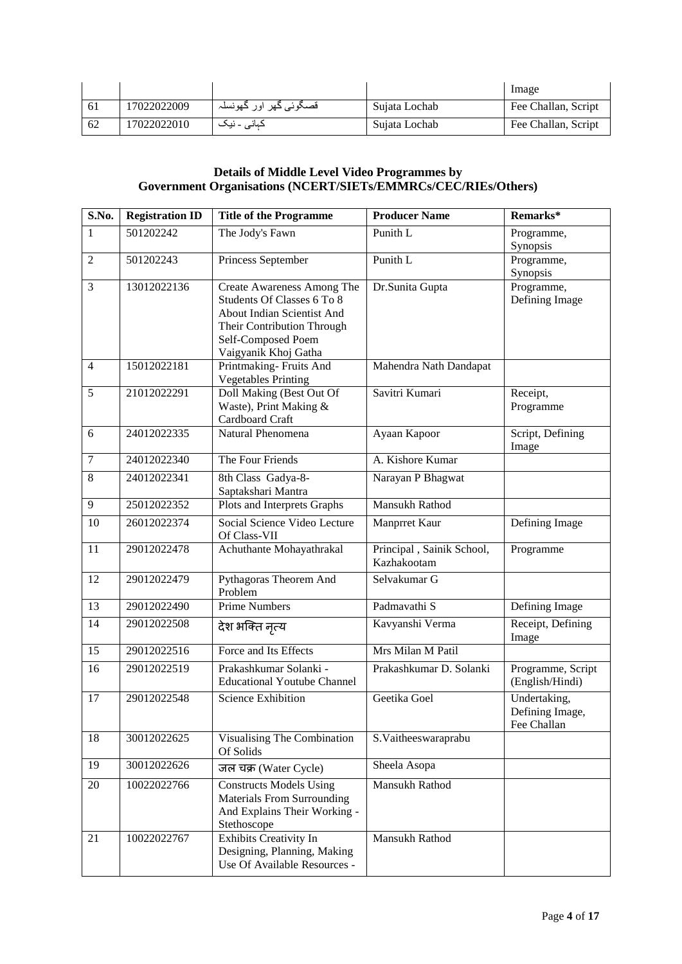|     |             |                        |               | Image               |
|-----|-------------|------------------------|---------------|---------------------|
|     | 17022022009 | قصگوئي گهر اور گهونسلہ | Sujata Lochab | Fee Challan, Script |
| -62 | 17022022010 | کہان <i>ی</i> ۔ نیک    | Sujata Lochab | Fee Challan, Script |

#### **Details of Middle Level Video Programmes by Government Organisations (NCERT/SIETs/EMMRCs/CEC/RIEs/Others)**

| S.No.            | <b>Registration ID</b> | <b>Title of the Programme</b>                                                                                                                                      | <b>Producer Name</b>                     | Remarks*                                       |
|------------------|------------------------|--------------------------------------------------------------------------------------------------------------------------------------------------------------------|------------------------------------------|------------------------------------------------|
| 1                | 501202242              | The Jody's Fawn                                                                                                                                                    | Punith L                                 | Programme,<br>Synopsis                         |
| $\overline{2}$   | 501202243              | Princess September                                                                                                                                                 | Punith L                                 | Programme,<br>Synopsis                         |
| 3                | 13012022136            | Create Awareness Among The<br>Students Of Classes 6 To 8<br>About Indian Scientist And<br>Their Contribution Through<br>Self-Composed Poem<br>Vaigyanik Khoj Gatha | Dr.Sunita Gupta                          | Programme,<br>Defining Image                   |
| $\overline{4}$   | 15012022181            | Printmaking-Fruits And<br><b>Vegetables Printing</b>                                                                                                               | Mahendra Nath Dandapat                   |                                                |
| 5                | 21012022291            | Doll Making (Best Out Of<br>Waste), Print Making &<br>Cardboard Craft                                                                                              | Savitri Kumari                           | Receipt,<br>Programme                          |
| 6                | 24012022335            | Natural Phenomena                                                                                                                                                  | Ayaan Kapoor                             | Script, Defining<br>Image                      |
| $\boldsymbol{7}$ | 24012022340            | The Four Friends                                                                                                                                                   | A. Kishore Kumar                         |                                                |
| $\overline{8}$   | 24012022341            | 8th Class Gadya-8-<br>Saptakshari Mantra                                                                                                                           | Narayan P Bhagwat                        |                                                |
| 9                | 25012022352            | Plots and Interprets Graphs                                                                                                                                        | Mansukh Rathod                           |                                                |
| 10               | 26012022374            | Social Science Video Lecture<br>Of Class-VII                                                                                                                       | Manprret Kaur                            | Defining Image                                 |
| 11               | 29012022478            | Achuthante Mohayathrakal                                                                                                                                           | Principal, Sainik School,<br>Kazhakootam | Programme                                      |
| 12               | 29012022479            | Pythagoras Theorem And<br>Problem                                                                                                                                  | Selvakumar G                             |                                                |
| 13               | 29012022490            | <b>Prime Numbers</b>                                                                                                                                               | Padmavathi S                             | Defining Image                                 |
| 14               | 29012022508            | देश भक्ति नृत्य                                                                                                                                                    | Kavyanshi Verma                          | Receipt, Defining<br>Image                     |
| 15               | 29012022516            | Force and Its Effects                                                                                                                                              | Mrs Milan M Patil                        |                                                |
| 16               | 29012022519            | Prakashkumar Solanki -<br><b>Educational Youtube Channel</b>                                                                                                       | Prakashkumar D. Solanki                  | Programme, Script<br>(English/Hindi)           |
| 17               | 29012022548            | <b>Science Exhibition</b>                                                                                                                                          | Geetika Goel                             | Undertaking,<br>Defining Image,<br>Fee Challan |
| 18               | 30012022625            | Visualising The Combination<br>Of Solids                                                                                                                           | S.Vaitheeswaraprabu                      |                                                |
| 19               | 30012022626            | जल चक्र (Water Cycle)                                                                                                                                              | Sheela Asopa                             |                                                |
| 20               | 10022022766            | <b>Constructs Models Using</b><br><b>Materials From Surrounding</b><br>And Explains Their Working -<br>Stethoscope                                                 | Mansukh Rathod                           |                                                |
| 21               | 10022022767            | Exhibits Creativity In<br>Designing, Planning, Making<br>Use Of Available Resources -                                                                              | Mansukh Rathod                           |                                                |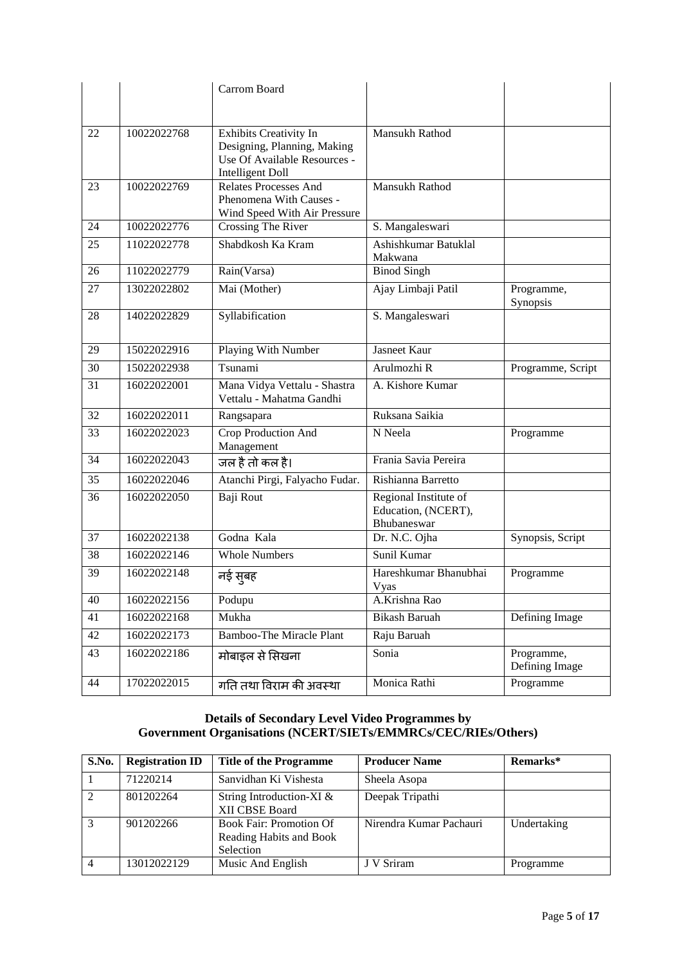|                 |             | Carrom Board                                                                                                            |                                                             |                              |
|-----------------|-------------|-------------------------------------------------------------------------------------------------------------------------|-------------------------------------------------------------|------------------------------|
|                 |             |                                                                                                                         |                                                             |                              |
| 22              | 10022022768 | <b>Exhibits Creativity In</b><br>Designing, Planning, Making<br>Use Of Available Resources -<br><b>Intelligent Doll</b> | Mansukh Rathod                                              |                              |
| 23              | 10022022769 | <b>Relates Processes And</b><br>Phenomena With Causes -<br>Wind Speed With Air Pressure                                 | Mansukh Rathod                                              |                              |
| 24              | 10022022776 | Crossing The River                                                                                                      | S. Mangaleswari                                             |                              |
| 25              | 11022022778 | Shabdkosh Ka Kram                                                                                                       | Ashishkumar Batuklal<br>Makwana                             |                              |
| 26              | 11022022779 | Rain(Varsa)                                                                                                             | <b>Binod Singh</b>                                          |                              |
| 27              | 13022022802 | Mai (Mother)                                                                                                            | Ajay Limbaji Patil                                          | Programme,<br>Synopsis       |
| 28              | 14022022829 | Syllabification                                                                                                         | S. Mangaleswari                                             |                              |
| 29              | 15022022916 | <b>Playing With Number</b>                                                                                              | <b>Jasneet Kaur</b>                                         |                              |
| 30              | 15022022938 | Tsunami                                                                                                                 | Arulmozhi R                                                 | Programme, Script            |
| 31              | 16022022001 | Mana Vidya Vettalu - Shastra<br>Vettalu - Mahatma Gandhi                                                                | A. Kishore Kumar                                            |                              |
| $\overline{32}$ | 16022022011 | Rangsapara                                                                                                              | Ruksana Saikia                                              |                              |
| 33              | 16022022023 | Crop Production And<br>Management                                                                                       | N Neela                                                     | Programme                    |
| 34              | 16022022043 | जल है तो कल है।                                                                                                         | Frania Savia Pereira                                        |                              |
| 35              | 16022022046 | Atanchi Pirgi, Falyacho Fudar.                                                                                          | Rishianna Barretto                                          |                              |
| 36              | 16022022050 | Baji Rout                                                                                                               | Regional Institute of<br>Education, (NCERT),<br>Bhubaneswar |                              |
| 37              | 16022022138 | Godna Kala                                                                                                              | Dr. N.C. Ojha                                               | Synopsis, Script             |
| 38              | 16022022146 | <b>Whole Numbers</b>                                                                                                    | Sunil Kumar                                                 |                              |
| 39              | 16022022148 | नई सुबह                                                                                                                 | Hareshkumar Bhanubhai<br>Vyas                               | Programme                    |
| 40              | 16022022156 | Podupu                                                                                                                  | A.Krishna Rao                                               |                              |
| 41              | 16022022168 | Mukha                                                                                                                   | <b>Bikash Baruah</b>                                        | Defining Image               |
| 42              | 16022022173 | <b>Bamboo-The Miracle Plant</b>                                                                                         | Raju Baruah                                                 |                              |
| 43              | 16022022186 | मोबाइल से सिखना                                                                                                         | Sonia                                                       | Programme,<br>Defining Image |
| 44              | 17022022015 | गति तथा विराम की अवस्था                                                                                                 | Monica Rathi                                                | Programme                    |

#### **Details of Secondary Level Video Programmes by Government Organisations (NCERT/SIETs/EMMRCs/CEC/RIEs/Others)**

| S.No.          | <b>Registration ID</b> | <b>Title of the Programme</b>                                          | <b>Producer Name</b>    | Remarks*    |
|----------------|------------------------|------------------------------------------------------------------------|-------------------------|-------------|
|                | 71220214               | Sanvidhan Ki Vishesta                                                  | Sheela Asopa            |             |
|                | 801202264              | String Introduction-XI &<br>XII CBSE Board                             | Deepak Tripathi         |             |
| 3              | 901202266              | <b>Book Fair: Promotion Of</b><br>Reading Habits and Book<br>Selection | Nirendra Kumar Pachauri | Undertaking |
| $\overline{4}$ | 13012022129            | Music And English                                                      | J V Sriram              | Programme   |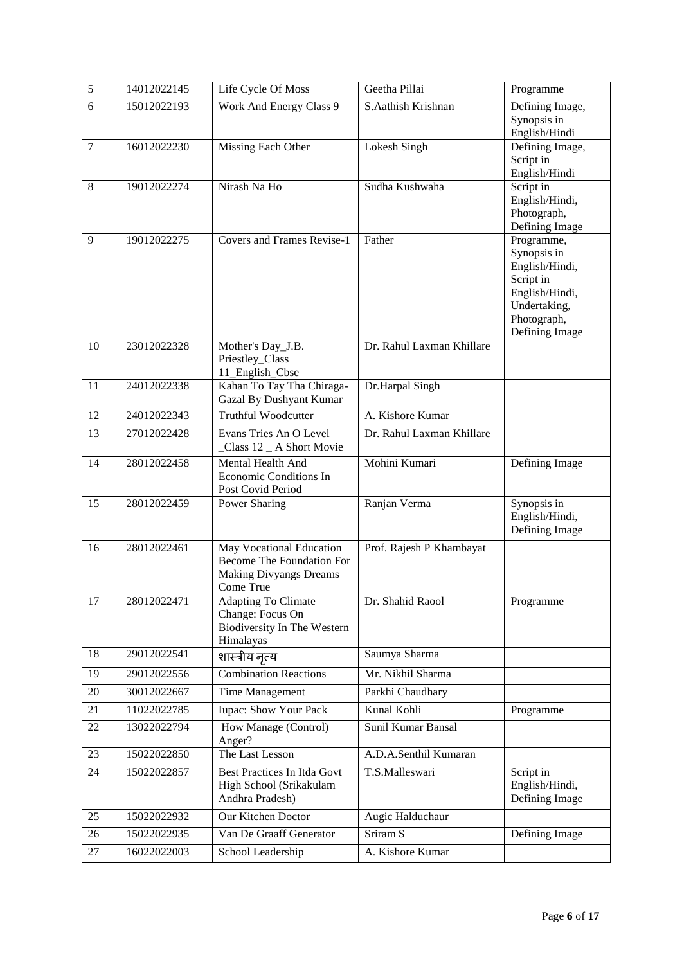| $\sqrt{5}$     | 14012022145 | Life Cycle Of Moss                                                                                  | Geetha Pillai             | Programme                                                                                                                   |
|----------------|-------------|-----------------------------------------------------------------------------------------------------|---------------------------|-----------------------------------------------------------------------------------------------------------------------------|
| 6              | 15012022193 | Work And Energy Class 9                                                                             | S.Aathish Krishnan        | Defining Image,<br>Synopsis in<br>English/Hindi                                                                             |
| $\overline{7}$ | 16012022230 | Missing Each Other                                                                                  | Lokesh Singh              | Defining Image,<br>Script in<br>English/Hindi                                                                               |
| 8              | 19012022274 | Nirash Na Ho                                                                                        | Sudha Kushwaha            | Script in<br>English/Hindi,<br>Photograph,<br>Defining Image                                                                |
| 9              | 19012022275 | <b>Covers and Frames Revise-1</b>                                                                   | Father                    | Programme,<br>Synopsis in<br>English/Hindi,<br>Script in<br>English/Hindi,<br>Undertaking,<br>Photograph,<br>Defining Image |
| 10             | 23012022328 | Mother's Day_J.B.<br>Priestley_Class<br>11_English_Cbse                                             | Dr. Rahul Laxman Khillare |                                                                                                                             |
| 11             | 24012022338 | Kahan To Tay Tha Chiraga-<br>Gazal By Dushyant Kumar                                                | Dr.Harpal Singh           |                                                                                                                             |
| 12             | 24012022343 | <b>Truthful Woodcutter</b>                                                                          | A. Kishore Kumar          |                                                                                                                             |
| 13             | 27012022428 | Evans Tries An O Level<br>_Class 12 _ A Short Movie                                                 | Dr. Rahul Laxman Khillare |                                                                                                                             |
| 14             | 28012022458 | Mental Health And<br>Economic Conditions In<br>Post Covid Period                                    | Mohini Kumari             | Defining Image                                                                                                              |
| 15             | 28012022459 | Power Sharing                                                                                       | Ranjan Verma              | Synopsis in<br>English/Hindi,<br>Defining Image                                                                             |
| 16             | 28012022461 | May Vocational Education<br>Become The Foundation For<br><b>Making Divyangs Dreams</b><br>Come True | Prof. Rajesh P Khambayat  |                                                                                                                             |
| 17             | 28012022471 | <b>Adapting To Climate</b><br>Change: Focus On<br>Biodiversity In The Western<br>Himalayas          | Dr. Shahid Raool          | Programme                                                                                                                   |
| 18             | 29012022541 | शास्त्रीय नृत्य                                                                                     | Saumya Sharma             |                                                                                                                             |
| 19             | 29012022556 | <b>Combination Reactions</b>                                                                        | Mr. Nikhil Sharma         |                                                                                                                             |
| 20             | 30012022667 | Time Management                                                                                     | Parkhi Chaudhary          |                                                                                                                             |
| 21             | 11022022785 | <b>Iupac: Show Your Pack</b>                                                                        | Kunal Kohli               | Programme                                                                                                                   |
| 22             | 13022022794 | How Manage (Control)<br>Anger?                                                                      | Sunil Kumar Bansal        |                                                                                                                             |
| 23             | 15022022850 | The Last Lesson                                                                                     | A.D.A.Senthil Kumaran     |                                                                                                                             |
| 24             | 15022022857 | Best Practices In Itda Govt<br>High School (Srikakulam<br>Andhra Pradesh)                           | T.S.Malleswari            | Script in<br>English/Hindi,<br>Defining Image                                                                               |
| 25             | 15022022932 | Our Kitchen Doctor                                                                                  | Augic Halduchaur          |                                                                                                                             |
| 26             | 15022022935 | Van De Graaff Generator                                                                             | Sriram <sub>S</sub>       | Defining Image                                                                                                              |
| 27             | 16022022003 | School Leadership                                                                                   | A. Kishore Kumar          |                                                                                                                             |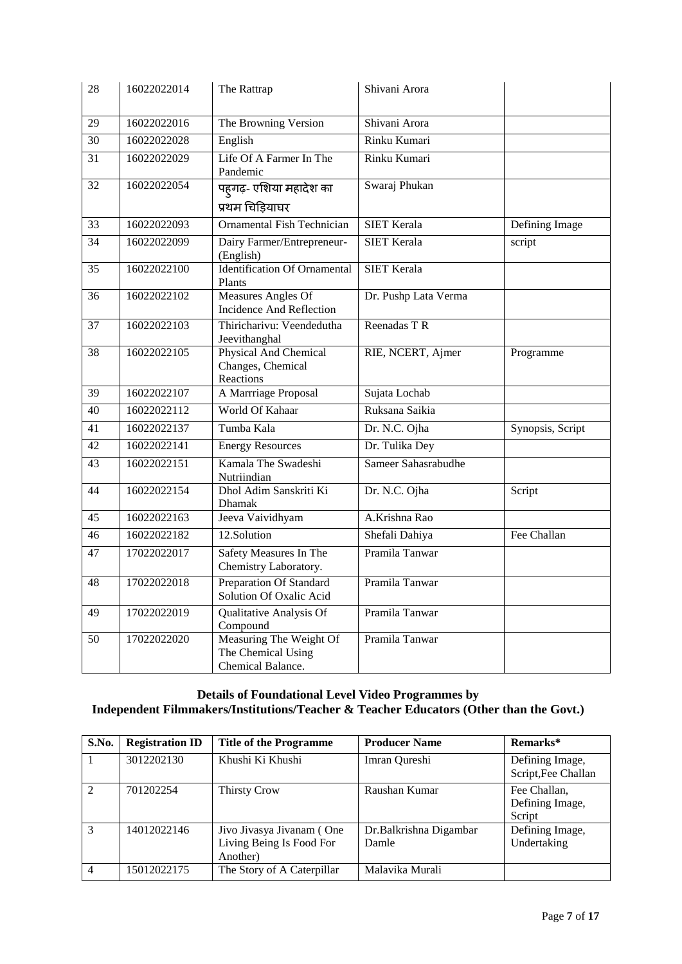| 28              | 16022022014 | The Rattrap                                                        | Shivani Arora        |                  |
|-----------------|-------------|--------------------------------------------------------------------|----------------------|------------------|
| 29              | 16022022016 | The Browning Version                                               | Shivani Arora        |                  |
| $\overline{30}$ | 16022022028 | English                                                            | Rinku Kumari         |                  |
| 31              | 16022022029 | Life Of A Farmer In The<br>Pandemic                                | Rinku Kumari         |                  |
| 32              | 16022022054 | पह्गढ़- एशिया महादेश का                                            | Swaraj Phukan        |                  |
|                 |             | प्रथम चिड़ियाघर                                                    |                      |                  |
| 33              | 16022022093 | <b>Ornamental Fish Technician</b>                                  | <b>SIET Kerala</b>   | Defining Image   |
| $\overline{34}$ | 16022022099 | Dairy Farmer/Entrepreneur-<br>(English)                            | <b>SIET Kerala</b>   | script           |
| 35              | 16022022100 | <b>Identification Of Ornamental</b><br>Plants                      | <b>SIET Kerala</b>   |                  |
| 36              | 16022022102 | Measures Angles Of<br>Incidence And Reflection                     | Dr. Pushp Lata Verma |                  |
| 37              | 16022022103 | Thiricharivu: Veendedutha<br>Jeevithanghal                         | Reenadas T R         |                  |
| $\overline{38}$ | 16022022105 | Physical And Chemical<br>Changes, Chemical<br>Reactions            | RIE, NCERT, Ajmer    | Programme        |
| 39              | 16022022107 | A Marrriage Proposal                                               | Sujata Lochab        |                  |
| $\overline{40}$ | 16022022112 | World Of Kahaar                                                    | Ruksana Saikia       |                  |
| 41              | 16022022137 | Tumba Kala                                                         | Dr. N.C. Ojha        | Synopsis, Script |
| 42              | 16022022141 | <b>Energy Resources</b>                                            | Dr. Tulika Dey       |                  |
| 43              | 16022022151 | Kamala The Swadeshi<br>Nutriindian                                 | Sameer Sahasrabudhe  |                  |
| 44              | 16022022154 | Dhol Adim Sanskriti Ki<br>Dhamak                                   | Dr. N.C. Ojha        | Script           |
| 45              | 16022022163 | Jeeva Vaividhyam                                                   | A.Krishna Rao        |                  |
| 46              | 16022022182 | 12.Solution                                                        | Shefali Dahiya       | Fee Challan      |
| $\overline{47}$ | 17022022017 | Safety Measures In The<br>Chemistry Laboratory.                    | Pramila Tanwar       |                  |
| 48              | 17022022018 | <b>Preparation Of Standard</b><br>Solution Of Oxalic Acid          | Pramila Tanwar       |                  |
| 49              | 17022022019 | Qualitative Analysis Of<br>Compound                                | Pramila Tanwar       |                  |
| 50              | 17022022020 | Measuring The Weight Of<br>The Chemical Using<br>Chemical Balance. | Pramila Tanwar       |                  |

#### **Details of Foundational Level Video Programmes by Independent Filmmakers/Institutions/Teacher & Teacher Educators (Other than the Govt.)**

| S.No.         | <b>Registration ID</b> | <b>Title of the Programme</b>                                     | <b>Producer Name</b>            | Remarks*                                  |
|---------------|------------------------|-------------------------------------------------------------------|---------------------------------|-------------------------------------------|
|               | 3012202130             | Khushi Ki Khushi                                                  | Imran Qureshi                   | Defining Image,<br>Script, Fee Challan    |
| $\mathcal{L}$ | 701202254              | <b>Thirsty Crow</b>                                               | Raushan Kumar                   | Fee Challan,<br>Defining Image,<br>Script |
| $\mathcal{R}$ | 14012022146            | Jivo Jivasya Jivanam (One<br>Living Being Is Food For<br>Another) | Dr.Balkrishna Digambar<br>Damle | Defining Image,<br>Undertaking            |
| 4             | 15012022175            | The Story of A Caterpillar                                        | Malavika Murali                 |                                           |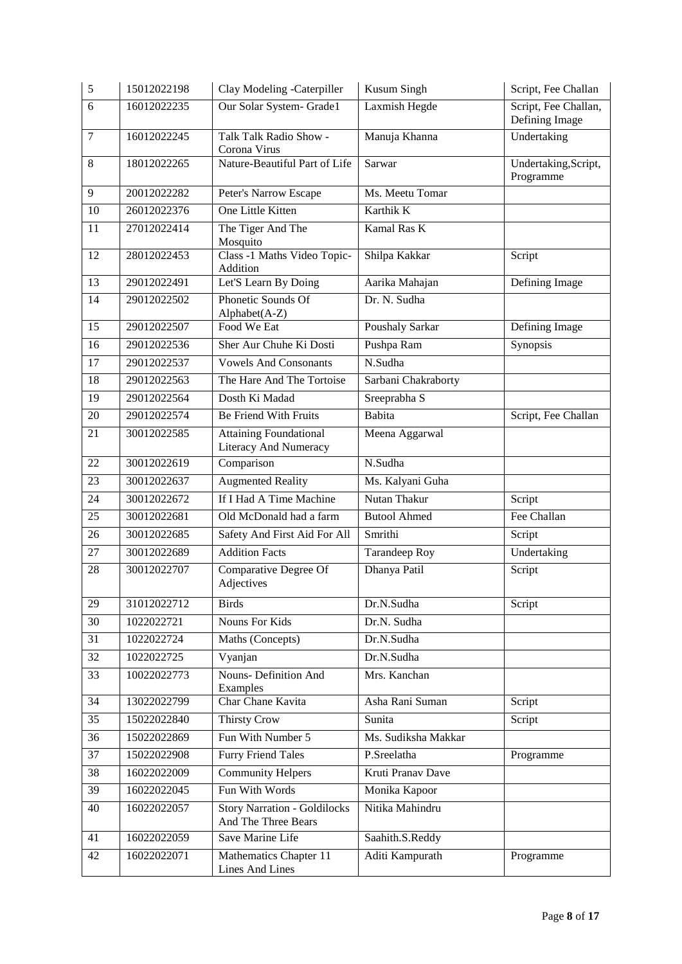| 5               | 15012022198 | Clay Modeling -Caterpiller                                 | Kusum Singh          | Script, Fee Challan                    |
|-----------------|-------------|------------------------------------------------------------|----------------------|----------------------------------------|
| 6               | 16012022235 | Our Solar System- Grade1                                   | Laxmish Hegde        | Script, Fee Challan,<br>Defining Image |
| $\tau$          | 16012022245 | Talk Talk Radio Show -<br>Corona Virus                     | Manuja Khanna        | Undertaking                            |
| 8               | 18012022265 | Nature-Beautiful Part of Life                              | Sarwar               | Undertaking, Script,<br>Programme      |
| 9               | 20012022282 | Peter's Narrow Escape                                      | Ms. Meetu Tomar      |                                        |
| 10              | 26012022376 | One Little Kitten                                          | Karthik K            |                                        |
| 11              | 27012022414 | The Tiger And The<br>Mosquito                              | Kamal Ras K          |                                        |
| 12              | 28012022453 | Class -1 Maths Video Topic-<br>Addition                    | Shilpa Kakkar        | Script                                 |
| 13              | 29012022491 | Let'S Learn By Doing                                       | Aarika Mahajan       | Defining Image                         |
| 14              | 29012022502 | Phonetic Sounds Of<br>Alphabet(A-Z)                        | Dr. N. Sudha         |                                        |
| 15              | 29012022507 | Food We Eat                                                | Poushaly Sarkar      | Defining Image                         |
| 16              | 29012022536 | Sher Aur Chuhe Ki Dosti                                    | Pushpa Ram           | Synopsis                               |
| 17              | 29012022537 | <b>Vowels And Consonants</b>                               | N.Sudha              |                                        |
| 18              | 29012022563 | The Hare And The Tortoise                                  | Sarbani Chakraborty  |                                        |
| $\overline{19}$ | 29012022564 | Dosth Ki Madad                                             | Sreeprabha S         |                                        |
| 20              | 29012022574 | Be Friend With Fruits                                      | Babita               | Script, Fee Challan                    |
| 21              | 30012022585 | <b>Attaining Foundational</b><br>Literacy And Numeracy     | Meena Aggarwal       |                                        |
| 22              | 30012022619 | Comparison                                                 | N.Sudha              |                                        |
| 23              | 30012022637 | <b>Augmented Reality</b>                                   | Ms. Kalyani Guha     |                                        |
| 24              | 30012022672 | If I Had A Time Machine                                    | Nutan Thakur         | Script                                 |
| 25              | 30012022681 | Old McDonald had a farm                                    | <b>Butool Ahmed</b>  | Fee Challan                            |
| 26              | 30012022685 | Safety And First Aid For All                               | Smrithi              | Script                                 |
| 27              | 30012022689 | <b>Addition Facts</b>                                      | <b>Tarandeep Roy</b> | Undertaking                            |
| 28              | 30012022707 | Comparative Degree Of<br>Adjectives                        | Dhanya Patil         | Script                                 |
| 29              | 31012022712 | <b>Birds</b>                                               | Dr.N.Sudha           | Script                                 |
| 30              | 1022022721  | Nouns For Kids                                             | Dr.N. Sudha          |                                        |
| 31              | 1022022724  | Maths (Concepts)                                           | Dr.N.Sudha           |                                        |
| 32              | 1022022725  | Vyanjan                                                    | Dr.N.Sudha           |                                        |
| 33              | 10022022773 | <b>Nouns- Definition And</b><br>Examples                   | Mrs. Kanchan         |                                        |
| 34              | 13022022799 | Char Chane Kavita                                          | Asha Rani Suman      | Script                                 |
| $\overline{35}$ | 15022022840 | Thirsty Crow                                               | Sunita               | Script                                 |
| 36              | 15022022869 | Fun With Number 5                                          | Ms. Sudiksha Makkar  |                                        |
| 37              | 15022022908 | <b>Furry Friend Tales</b>                                  | P.Sreelatha          | Programme                              |
| 38              | 16022022009 | <b>Community Helpers</b>                                   | Kruti Pranav Dave    |                                        |
| 39              | 16022022045 | Fun With Words                                             | Monika Kapoor        |                                        |
| 40              | 16022022057 | <b>Story Narration - Goldilocks</b><br>And The Three Bears | Nitika Mahindru      |                                        |
| 41              | 16022022059 | Save Marine Life                                           | Saahith.S.Reddy      |                                        |
| 42              | 16022022071 | Mathematics Chapter 11<br>Lines And Lines                  | Aditi Kampurath      | Programme                              |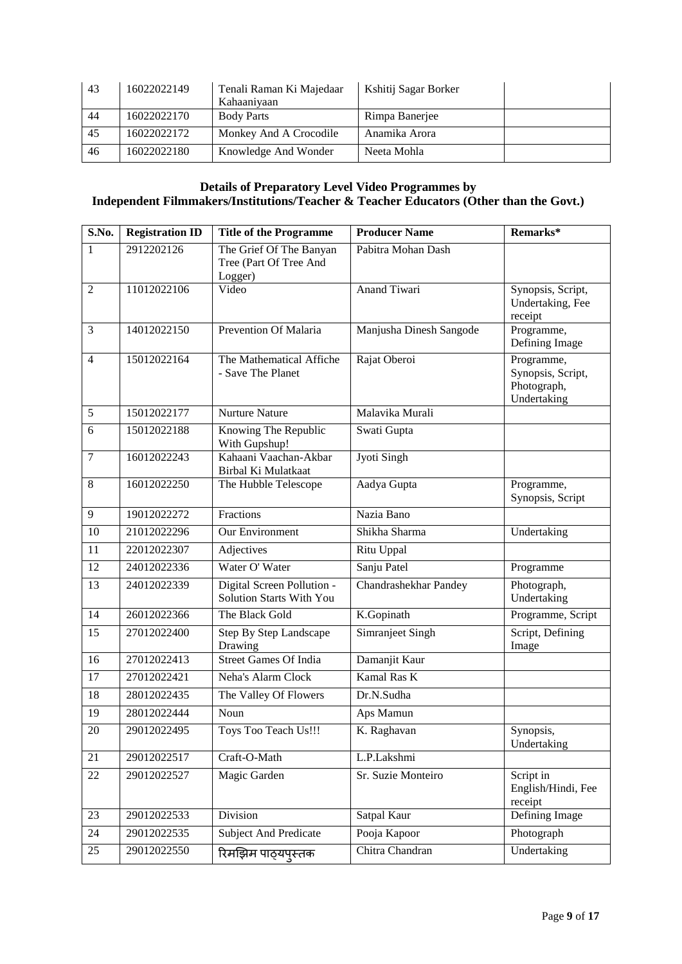| 43 | 16022022149 | Tenali Raman Ki Majedaar<br>Kahaaniyaan | Kshitij Sagar Borker |  |
|----|-------------|-----------------------------------------|----------------------|--|
| 44 | 16022022170 | <b>Body Parts</b>                       | Rimpa Banerjee       |  |
| 45 | 16022022172 | Monkey And A Crocodile                  | Anamika Arora        |  |
| 46 | 16022022180 | Knowledge And Wonder                    | Neeta Mohla          |  |

#### **Details of Preparatory Level Video Programmes by Independent Filmmakers/Institutions/Teacher & Teacher Educators (Other than the Govt.)**

| S.No.          | <b>Registration ID</b> | <b>Title of the Programme</b>                                | <b>Producer Name</b>    | Remarks*                                                      |
|----------------|------------------------|--------------------------------------------------------------|-------------------------|---------------------------------------------------------------|
| $\mathbf{1}$   | 2912202126             | The Grief Of The Banyan<br>Tree (Part Of Tree And<br>Logger) | Pabitra Mohan Dash      |                                                               |
| $\overline{2}$ | 11012022106            | Video                                                        | <b>Anand Tiwari</b>     | Synopsis, Script,<br>Undertaking, Fee<br>receipt              |
| 3              | 14012022150            | Prevention Of Malaria                                        | Manjusha Dinesh Sangode | Programme,<br>Defining Image                                  |
| $\overline{4}$ | 15012022164            | The Mathematical Affiche<br>- Save The Planet                | Rajat Oberoi            | Programme,<br>Synopsis, Script,<br>Photograph,<br>Undertaking |
| 5              | 15012022177            | <b>Nurture Nature</b>                                        | Malavika Murali         |                                                               |
| 6              | 15012022188            | Knowing The Republic<br>With Gupshup!                        | Swati Gupta             |                                                               |
| $\overline{7}$ | 16012022243            | Kahaani Vaachan-Akbar<br>Birbal Ki Mulatkaat                 | Jyoti Singh             |                                                               |
| 8              | 16012022250            | The Hubble Telescope                                         | Aadya Gupta             | Programme,<br>Synopsis, Script                                |
| 9              | 19012022272            | Fractions                                                    | Nazia Bano              |                                                               |
| 10             | 21012022296            | Our Environment                                              | Shikha Sharma           | Undertaking                                                   |
| 11             | 22012022307            | Adjectives                                                   | Ritu Uppal              |                                                               |
| 12             | 24012022336            | Water O' Water                                               | Sanju Patel             | Programme                                                     |
| 13             | 24012022339            | Digital Screen Pollution -<br>Solution Starts With You       | Chandrashekhar Pandey   | Photograph,<br>Undertaking                                    |
| 14             | 26012022366            | The Black Gold                                               | K.Gopinath              | Programme, Script                                             |
| 15             | 27012022400            | Step By Step Landscape<br>Drawing                            | Simranjeet Singh        | Script, Defining<br>Image                                     |
| 16             | 27012022413            | <b>Street Games Of India</b>                                 | Damanjit Kaur           |                                                               |
| 17             | 27012022421            | Neha's Alarm Clock                                           | Kamal Ras K             |                                                               |
| 18             | 28012022435            | The Valley Of Flowers                                        | Dr.N.Sudha              |                                                               |
| 19             | 28012022444            | Noun                                                         | Aps Mamun               |                                                               |
| 20             | 29012022495            | Toys Too Teach Us!!!                                         | K. Raghavan             | Synopsis,<br>Undertaking                                      |
| 21             | 29012022517            | Craft-O-Math                                                 | L.P.Lakshmi             |                                                               |
| 22             | 29012022527            | Magic Garden                                                 | Sr. Suzie Monteiro      | Script in<br>English/Hindi, Fee<br>receipt                    |
| 23             | 29012022533            | Division                                                     | Satpal Kaur             | Defining Image                                                |
| 24             | 29012022535            | <b>Subject And Predicate</b>                                 | Pooja Kapoor            | Photograph                                                    |
| 25             | 29012022550            | रिमझिम पाठ्यपुस्तक                                           | Chitra Chandran         | Undertaking                                                   |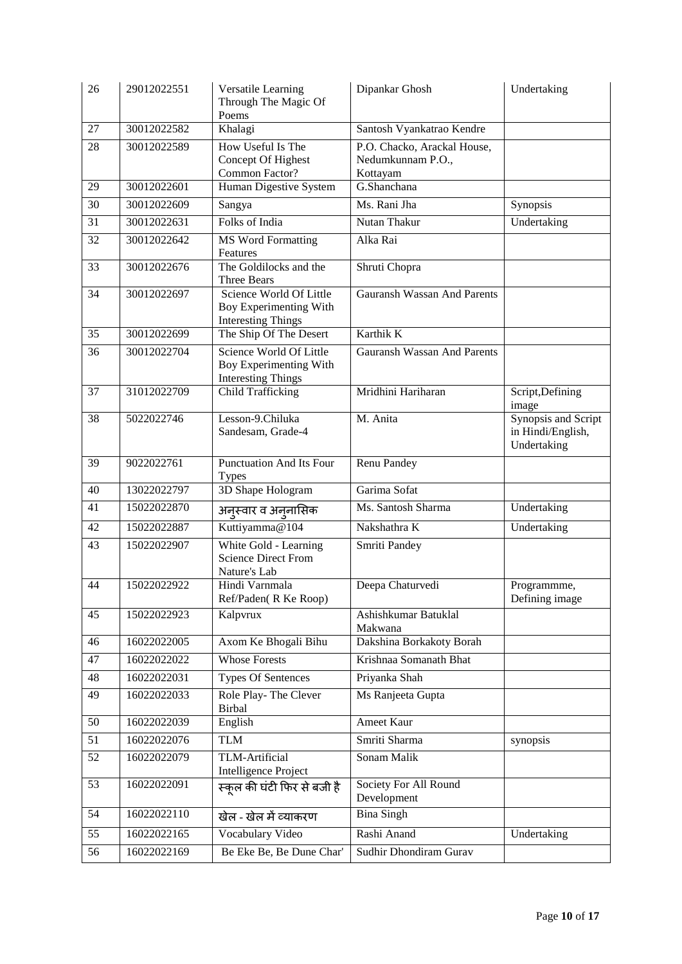| 26 | 29012022551 | Versatile Learning<br>Through The Magic Of<br>Poems                            | Dipankar Ghosh                                               | Undertaking                                             |
|----|-------------|--------------------------------------------------------------------------------|--------------------------------------------------------------|---------------------------------------------------------|
| 27 | 30012022582 | Khalagi                                                                        | Santosh Vyankatrao Kendre                                    |                                                         |
| 28 | 30012022589 | How Useful Is The<br>Concept Of Highest<br>Common Factor?                      | P.O. Chacko, Arackal House,<br>Nedumkunnam P.O.,<br>Kottayam |                                                         |
| 29 | 30012022601 | Human Digestive System                                                         | G.Shanchana                                                  |                                                         |
| 30 | 30012022609 | Sangya                                                                         | Ms. Rani Jha                                                 | Synopsis                                                |
| 31 | 30012022631 | Folks of India                                                                 | Nutan Thakur                                                 | Undertaking                                             |
| 32 | 30012022642 | <b>MS Word Formatting</b><br>Features                                          | Alka Rai                                                     |                                                         |
| 33 | 30012022676 | The Goldilocks and the<br>Three Bears                                          | Shruti Chopra                                                |                                                         |
| 34 | 30012022697 | Science World Of Little<br>Boy Experimenting With<br><b>Interesting Things</b> | <b>Gauransh Wassan And Parents</b>                           |                                                         |
| 35 | 30012022699 | The Ship Of The Desert                                                         | Karthik K                                                    |                                                         |
| 36 | 30012022704 | Science World Of Little<br>Boy Experimenting With<br><b>Interesting Things</b> | <b>Gauransh Wassan And Parents</b>                           |                                                         |
| 37 | 31012022709 | <b>Child Trafficking</b>                                                       | Mridhini Hariharan                                           | Script, Defining<br>image                               |
| 38 | 5022022746  | Lesson-9.Chiluka<br>Sandesam, Grade-4                                          | M. Anita                                                     | Synopsis and Script<br>in Hindi/English,<br>Undertaking |
| 39 | 9022022761  | <b>Punctuation And Its Four</b><br><b>Types</b>                                | Renu Pandey                                                  |                                                         |
| 40 | 13022022797 | 3D Shape Hologram                                                              | Garima Sofat                                                 |                                                         |
| 41 | 15022022870 | अनुस्वार व अनुनासिक                                                            | Ms. Santosh Sharma                                           | Undertaking                                             |
| 42 | 15022022887 | Kuttiyamma@104                                                                 | Nakshathra K                                                 | Undertaking                                             |
| 43 | 15022022907 | White Gold - Learning<br><b>Science Direct From</b><br>Nature's Lab            | Smriti Pandey                                                |                                                         |
| 44 | 15022022922 | Hindi Varnmala<br>Ref/Paden(R Ke Roop)                                         | Deepa Chaturvedi                                             | Programmme,<br>Defining image                           |
| 45 | 15022022923 | Kalpvrux                                                                       | Ashishkumar Batuklal<br>Makwana                              |                                                         |
| 46 | 16022022005 | Axom Ke Bhogali Bihu                                                           | Dakshina Borkakoty Borah                                     |                                                         |
| 47 | 16022022022 | <b>Whose Forests</b>                                                           | Krishnaa Somanath Bhat                                       |                                                         |
| 48 | 16022022031 | <b>Types Of Sentences</b>                                                      | Priyanka Shah                                                |                                                         |
| 49 | 16022022033 | Role Play-The Clever<br><b>Birbal</b>                                          | Ms Ranjeeta Gupta                                            |                                                         |
| 50 | 16022022039 | English                                                                        | Ameet Kaur                                                   |                                                         |
| 51 | 16022022076 | <b>TLM</b>                                                                     | Smriti Sharma                                                | synopsis                                                |
| 52 | 16022022079 | TLM-Artificial<br>Intelligence Project                                         | Sonam Malik                                                  |                                                         |
| 53 | 16022022091 | स्कूल की घंटी फिर से बजी है                                                    | Society For All Round<br>Development                         |                                                         |
| 54 | 16022022110 | खेल - खेल में व्याकरण                                                          | <b>Bina Singh</b>                                            |                                                         |
| 55 | 16022022165 | Vocabulary Video                                                               | Rashi Anand                                                  | Undertaking                                             |
| 56 | 16022022169 | Be Eke Be, Be Dune Char'                                                       | Sudhir Dhondiram Gurav                                       |                                                         |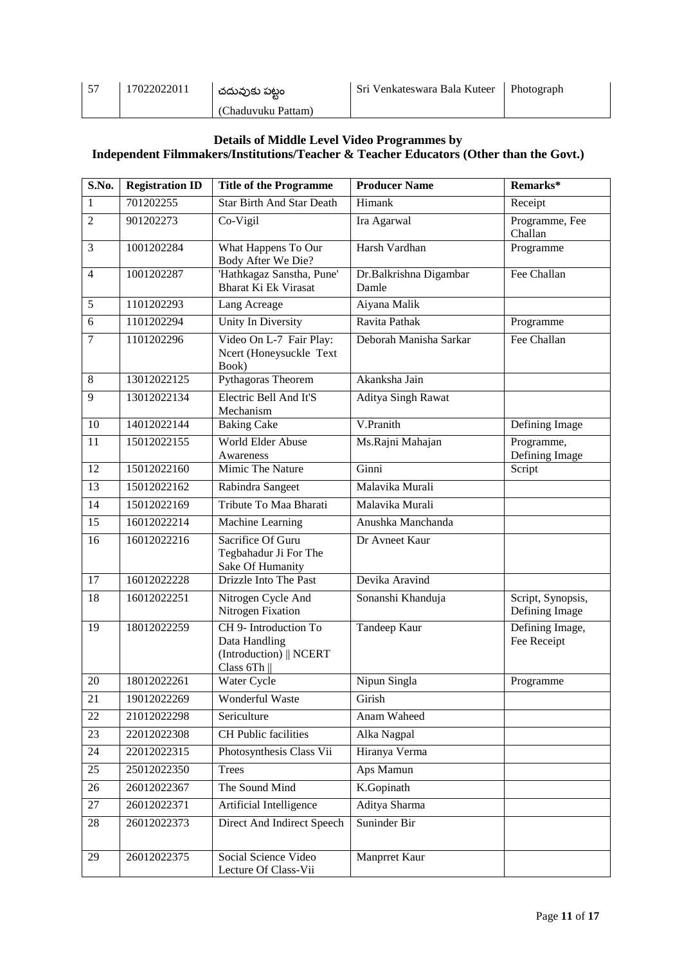| $5 - 5$ | 17022022011 | చదువుకు పట్టం      | <b>Sri Venkateswara Bala Kuteer</b> | Photograph |
|---------|-------------|--------------------|-------------------------------------|------------|
|         |             | (Chaduvuku Pattam) |                                     |            |

#### **Details of Middle Level Video Programmes by Independent Filmmakers/Institutions/Teacher & Teacher Educators (Other than the Govt.)**

| S.No.           | <b>Registration ID</b> | <b>Title of the Programme</b>                                                    | <b>Producer Name</b>            | Remarks*                            |
|-----------------|------------------------|----------------------------------------------------------------------------------|---------------------------------|-------------------------------------|
| 1               | 701202255              | <b>Star Birth And Star Death</b>                                                 | Himank                          | Receipt                             |
| $\overline{2}$  | 901202273              | Co-Vigil                                                                         | Ira Agarwal                     | Programme, Fee<br>Challan           |
| 3               | 1001202284             | What Happens To Our<br>Body After We Die?                                        | Harsh Vardhan                   | Programme                           |
| $\overline{4}$  | 1001202287             | 'Hathkagaz Sanstha, Pune'<br>Bharat Ki Ek Virasat                                | Dr.Balkrishna Digambar<br>Damle | Fee Challan                         |
| 5               | 1101202293             | Lang Acreage                                                                     | Aiyana Malik                    |                                     |
| 6               | 1101202294             | Unity In Diversity                                                               | Ravita Pathak                   | Programme                           |
| $\overline{7}$  | 1101202296             | Video On L-7 Fair Play:<br>Ncert (Honeysuckle Text<br>Book)                      | Deborah Manisha Sarkar          | Fee Challan                         |
| 8               | 13012022125            | Pythagoras Theorem                                                               | Akanksha Jain                   |                                     |
| 9               | 13012022134            | Electric Bell And It'S<br>Mechanism                                              | Aditya Singh Rawat              |                                     |
| 10              | 14012022144            | <b>Baking Cake</b>                                                               | V.Pranith                       | Defining Image                      |
| 11              | 15012022155            | World Elder Abuse<br>Awareness                                                   | Ms.Rajni Mahajan                | Programme,<br>Defining Image        |
| 12              | 15012022160            | Mimic The Nature                                                                 | Ginni                           | Script                              |
| 13              | 15012022162            | Rabindra Sangeet                                                                 | Malavika Murali                 |                                     |
| $\overline{14}$ | 15012022169            | Tribute To Maa Bharati                                                           | Malavika Murali                 |                                     |
| 15              | 16012022214            | Machine Learning                                                                 | Anushka Manchanda               |                                     |
| 16              | 16012022216            | Sacrifice Of Guru<br>Tegbahadur Ji For The<br>Sake Of Humanity                   | Dr Avneet Kaur                  |                                     |
| 17              | 16012022228            | Drizzle Into The Past                                                            | Devika Aravind                  |                                     |
| 18              | 16012022251            | Nitrogen Cycle And<br>Nitrogen Fixation                                          | Sonanshi Khanduja               | Script, Synopsis,<br>Defining Image |
| 19              | 18012022259            | CH 9- Introduction To<br>Data Handling<br>(Introduction)    NCERT<br>Class $6Th$ | <b>Tandeep Kaur</b>             | Defining Image,<br>Fee Receipt      |
| 20              | 18012022261            | Water Cycle                                                                      | Nipun Singla                    | Programme                           |
| 21              | 19012022269            | Wonderful Waste                                                                  | Girish                          |                                     |
| 22              | 21012022298            | Sericulture                                                                      | Anam Waheed                     |                                     |
| 23              | 22012022308            | <b>CH</b> Public facilities                                                      | Alka Nagpal                     |                                     |
| 24              | 22012022315            | Photosynthesis Class Vii                                                         | Hiranya Verma                   |                                     |
| 25              | 25012022350            | <b>Trees</b>                                                                     | Aps Mamun                       |                                     |
| 26              | 26012022367            | The Sound Mind                                                                   | K.Gopinath                      |                                     |
| 27              | 26012022371            | Artificial Intelligence                                                          | Aditya Sharma                   |                                     |
| 28              | 26012022373            | Direct And Indirect Speech                                                       | Suninder Bir                    |                                     |
| 29              | 26012022375            | Social Science Video<br>Lecture Of Class-Vii                                     | Manprret Kaur                   |                                     |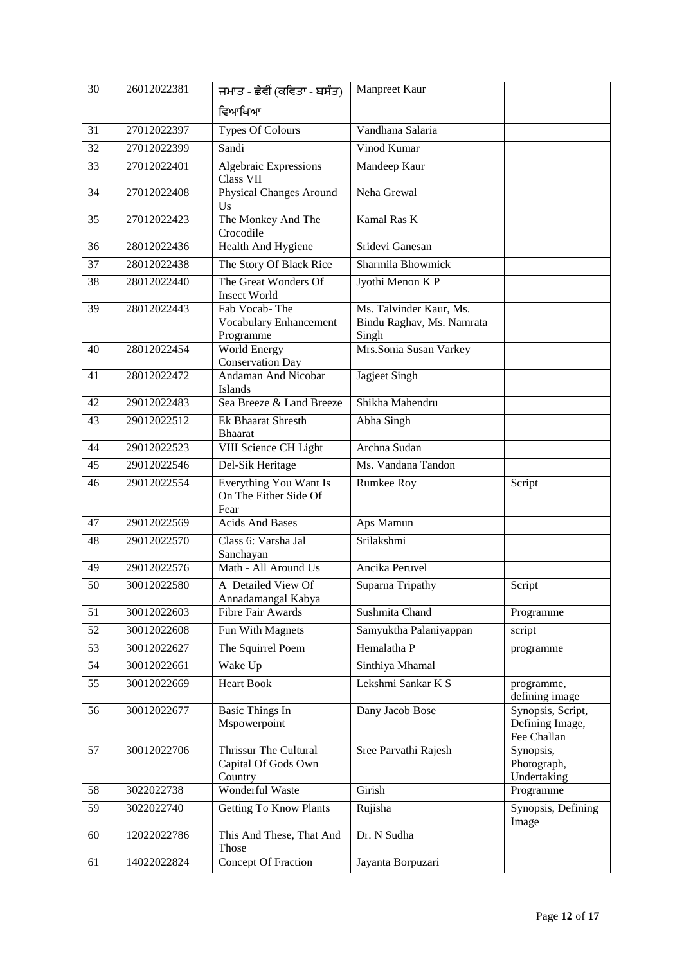| 30 | 26012022381 | ਜਮਾਤ - ਛੇਵੀਂ (ਕਵਿਤਾ - ਬਸੰਤ)                             | Manpreet Kaur                                                 |                                                     |
|----|-------------|---------------------------------------------------------|---------------------------------------------------------------|-----------------------------------------------------|
|    |             | ਵਿਆਖਿਆ                                                  |                                                               |                                                     |
| 31 | 27012022397 | <b>Types Of Colours</b>                                 | Vandhana Salaria                                              |                                                     |
| 32 | 27012022399 | Sandi                                                   | Vinod Kumar                                                   |                                                     |
| 33 | 27012022401 | <b>Algebraic Expressions</b><br>Class VII               | Mandeep Kaur                                                  |                                                     |
| 34 | 27012022408 | <b>Physical Changes Around</b><br>Us                    | Neha Grewal                                                   |                                                     |
| 35 | 27012022423 | The Monkey And The<br>Crocodile                         | Kamal Ras K                                                   |                                                     |
| 36 | 28012022436 | Health And Hygiene                                      | Sridevi Ganesan                                               |                                                     |
| 37 | 28012022438 | The Story Of Black Rice                                 | Sharmila Bhowmick                                             |                                                     |
| 38 | 28012022440 | The Great Wonders Of<br><b>Insect World</b>             | Jyothi Menon K P                                              |                                                     |
| 39 | 28012022443 | Fab Vocab-The<br>Vocabulary Enhancement<br>Programme    | Ms. Talvinder Kaur, Ms.<br>Bindu Raghav, Ms. Namrata<br>Singh |                                                     |
| 40 | 28012022454 | <b>World Energy</b><br><b>Conservation Day</b>          | Mrs.Sonia Susan Varkey                                        |                                                     |
| 41 | 28012022472 | Andaman And Nicobar<br>Islands                          | Jagjeet Singh                                                 |                                                     |
| 42 | 29012022483 | Sea Breeze & Land Breeze                                | Shikha Mahendru                                               |                                                     |
| 43 | 29012022512 | Ek Bhaarat Shresth<br><b>Bhaarat</b>                    | Abha Singh                                                    |                                                     |
| 44 | 29012022523 | VIII Science CH Light                                   | Archna Sudan                                                  |                                                     |
| 45 | 29012022546 | Del-Sik Heritage                                        | Ms. Vandana Tandon                                            |                                                     |
| 46 | 29012022554 | Everything You Want Is<br>On The Either Side Of<br>Fear | Rumkee Roy                                                    | Script                                              |
| 47 | 29012022569 | <b>Acids And Bases</b>                                  | Aps Mamun                                                     |                                                     |
| 48 | 29012022570 | Class 6: Varsha Jal<br>Sanchayan                        | Srilakshmi                                                    |                                                     |
| 49 | 29012022576 | Math - All Around Us                                    | Ancika Peruvel                                                |                                                     |
| 50 | 30012022580 | A Detailed View Of<br>Annadamangal Kabya                | Suparna Tripathy                                              | Script                                              |
| 51 | 30012022603 | <b>Fibre Fair Awards</b>                                | Sushmita Chand                                                | Programme                                           |
| 52 | 30012022608 | Fun With Magnets                                        | Samyuktha Palaniyappan                                        | script                                              |
| 53 | 30012022627 | The Squirrel Poem                                       | Hemalatha P                                                   | programme                                           |
| 54 | 30012022661 | Wake Up                                                 | Sinthiya Mhamal                                               |                                                     |
| 55 | 30012022669 | <b>Heart Book</b>                                       | Lekshmi Sankar K S                                            | programme,<br>defining image                        |
| 56 | 30012022677 | <b>Basic Things In</b><br>Mspowerpoint                  | Dany Jacob Bose                                               | Synopsis, Script,<br>Defining Image,<br>Fee Challan |
| 57 | 30012022706 | Thrissur The Cultural<br>Capital Of Gods Own<br>Country | Sree Parvathi Rajesh                                          | Synopsis,<br>Photograph,<br>Undertaking             |
| 58 | 3022022738  | Wonderful Waste                                         | Girish                                                        | Programme                                           |
| 59 | 3022022740  | <b>Getting To Know Plants</b>                           | Rujisha                                                       | Synopsis, Defining<br>Image                         |
| 60 | 12022022786 | This And These, That And<br>Those                       | Dr. N Sudha                                                   |                                                     |
| 61 | 14022022824 | Concept Of Fraction                                     | Jayanta Borpuzari                                             |                                                     |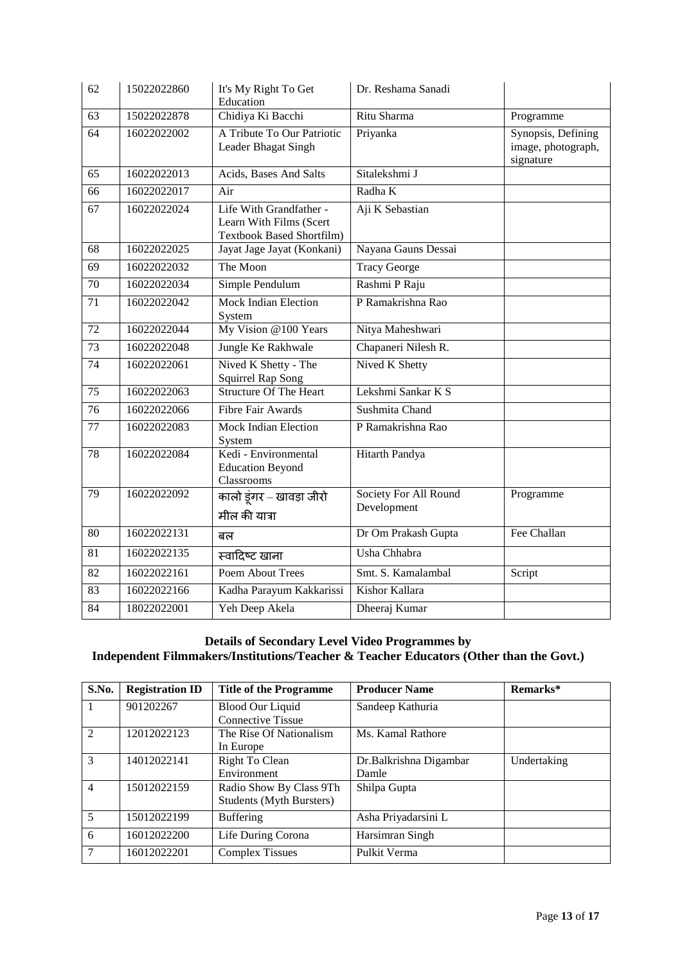| 62              | 15022022860 | It's My Right To Get<br>Education                                                      | Dr. Reshama Sanadi                   |                                                       |
|-----------------|-------------|----------------------------------------------------------------------------------------|--------------------------------------|-------------------------------------------------------|
| 63              | 15022022878 | Chidiya Ki Bacchi                                                                      | Ritu Sharma                          | Programme                                             |
| 64              | 16022022002 | A Tribute To Our Patriotic<br>Leader Bhagat Singh                                      | Priyanka                             | Synopsis, Defining<br>image, photograph,<br>signature |
| 65              | 16022022013 | Acids, Bases And Salts                                                                 | Sitalekshmi J                        |                                                       |
| 66              | 16022022017 | Air                                                                                    | Radha K                              |                                                       |
| 67              | 16022022024 | Life With Grandfather -<br>Learn With Films (Scert<br><b>Textbook Based Shortfilm)</b> | Aji K Sebastian                      |                                                       |
| 68              | 16022022025 | Jayat Jage Jayat (Konkani)                                                             | Nayana Gauns Dessai                  |                                                       |
| $\overline{69}$ | 16022022032 | The Moon                                                                               | <b>Tracy George</b>                  |                                                       |
| $\overline{70}$ | 16022022034 | Simple Pendulum                                                                        | Rashmi P Raju                        |                                                       |
| 71              | 16022022042 | <b>Mock Indian Election</b><br>System                                                  | P Ramakrishna Rao                    |                                                       |
| $\overline{72}$ | 16022022044 | My Vision @100 Years                                                                   | Nitya Maheshwari                     |                                                       |
| 73              | 16022022048 | Jungle Ke Rakhwale                                                                     | Chapaneri Nilesh R.                  |                                                       |
| 74              | 16022022061 | Nived K Shetty - The<br><b>Squirrel Rap Song</b>                                       | Nived K Shetty                       |                                                       |
| 75              | 16022022063 | <b>Structure Of The Heart</b>                                                          | Lekshmi Sankar K S                   |                                                       |
| 76              | 16022022066 | <b>Fibre Fair Awards</b>                                                               | Sushmita Chand                       |                                                       |
| $\overline{77}$ | 16022022083 | <b>Mock Indian Election</b><br>System                                                  | P Ramakrishna Rao                    |                                                       |
| 78              | 16022022084 | Kedi - Environmental<br><b>Education Beyond</b><br>Classrooms                          | Hitarth Pandya                       |                                                       |
| 79              | 16022022092 | कालो डूंगर – खावड़ा जीरो<br>मील की यात्रा                                              | Society For All Round<br>Development | Programme                                             |
| $\overline{80}$ | 16022022131 | बल                                                                                     | Dr Om Prakash Gupta                  | Fee Challan                                           |
| $\overline{81}$ | 16022022135 | स्वादिष्ट खाना                                                                         | Usha Chhabra                         |                                                       |
| 82              | 16022022161 | Poem About Trees                                                                       | Smt. S. Kamalambal                   | Script                                                |
| 83              | 16022022166 | Kadha Parayum Kakkarissi                                                               | Kishor Kallara                       |                                                       |
| 84              | 18022022001 | Yeh Deep Akela                                                                         | Dheeraj Kumar                        |                                                       |

## **Details of Secondary Level Video Programmes by Independent Filmmakers/Institutions/Teacher & Teacher Educators (Other than the Govt.)**

| S.No.          | <b>Registration ID</b> | <b>Title of the Programme</b>   | <b>Producer Name</b>   | Remarks*    |
|----------------|------------------------|---------------------------------|------------------------|-------------|
| $\vert$ 1      | 901202267              | <b>Blood Our Liquid</b>         | Sandeep Kathuria       |             |
|                |                        | Connective Tissue               |                        |             |
| $\sqrt{2}$     | 12012022123            | The Rise Of Nationalism         | Ms. Kamal Rathore      |             |
|                |                        | In Europe                       |                        |             |
| $\mathcal{E}$  | 14012022141            | Right To Clean                  | Dr.Balkrishna Digambar | Undertaking |
|                |                        | Environment                     | Damle                  |             |
| $\overline{4}$ | 15012022159            | Radio Show By Class 9Th         | Shilpa Gupta           |             |
|                |                        | <b>Students (Myth Bursters)</b> |                        |             |
| 5              | 15012022199            | <b>Buffering</b>                | Asha Priyadarsini L    |             |
| 6              | 16012022200            | Life During Corona              | Harsimran Singh        |             |
| 7              | 16012022201            | <b>Complex Tissues</b>          | Pulkit Verma           |             |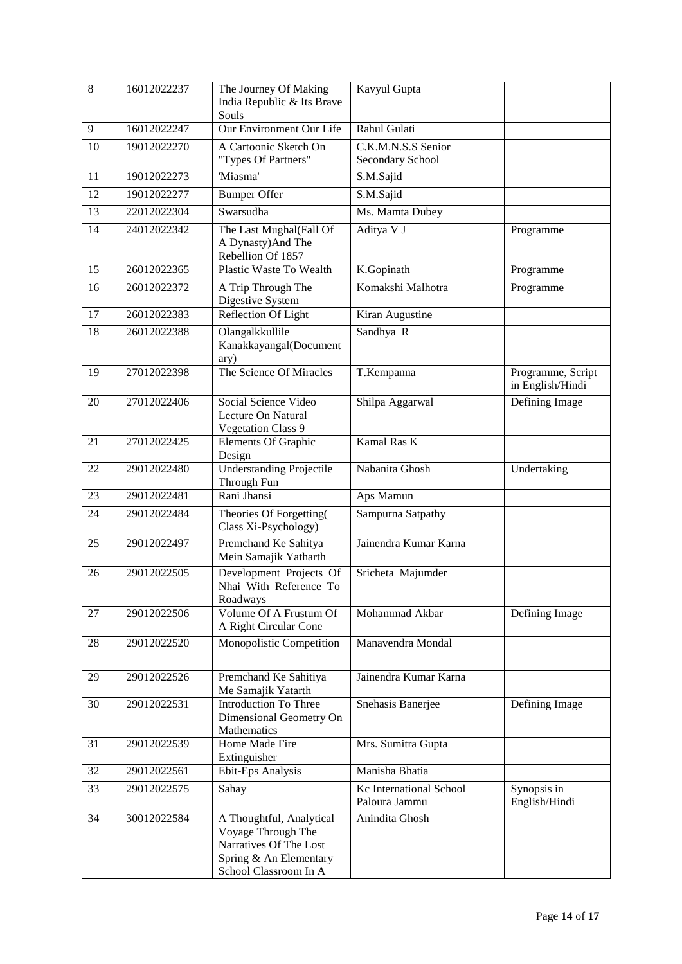| 8               | 16012022237 | The Journey Of Making<br>India Republic & Its Brave<br>Souls                                                                | Kavyul Gupta                             |                                       |
|-----------------|-------------|-----------------------------------------------------------------------------------------------------------------------------|------------------------------------------|---------------------------------------|
| 9               | 16012022247 | Our Environment Our Life                                                                                                    | Rahul Gulati                             |                                       |
| 10              | 19012022270 | A Cartoonic Sketch On<br>"Types Of Partners"                                                                                | C.K.M.N.S.S Senior<br>Secondary School   |                                       |
| 11              | 19012022273 | 'Miasma'                                                                                                                    | S.M.Sajid                                |                                       |
| 12              | 19012022277 | <b>Bumper Offer</b>                                                                                                         | S.M.Sajid                                |                                       |
| 13              | 22012022304 | Swarsudha                                                                                                                   | Ms. Mamta Dubey                          |                                       |
| $\overline{14}$ | 24012022342 | The Last Mughal(Fall Of<br>A Dynasty) And The<br>Rebellion Of 1857                                                          | Aditya V J                               | Programme                             |
| 15              | 26012022365 | Plastic Waste To Wealth                                                                                                     | K.Gopinath                               | Programme                             |
| 16              | 26012022372 | A Trip Through The<br>Digestive System                                                                                      | Komakshi Malhotra                        | Programme                             |
| 17              | 26012022383 | Reflection Of Light                                                                                                         | Kiran Augustine                          |                                       |
| 18              | 26012022388 | Olangalkkullile<br>Kanakkayangal(Document<br>ary)                                                                           | Sandhya R                                |                                       |
| 19              | 27012022398 | The Science Of Miracles                                                                                                     | T.Kempanna                               | Programme, Script<br>in English/Hindi |
| 20              | 27012022406 | Social Science Video<br>Lecture On Natural<br><b>Vegetation Class 9</b>                                                     | Shilpa Aggarwal                          | Defining Image                        |
| 21              | 27012022425 | <b>Elements Of Graphic</b><br>Design                                                                                        | Kamal Ras K                              |                                       |
| 22              | 29012022480 | <b>Understanding Projectile</b><br>Through Fun                                                                              | Nabanita Ghosh                           | Undertaking                           |
| 23              | 29012022481 | Rani Jhansi                                                                                                                 | Aps Mamun                                |                                       |
| 24              | 29012022484 | Theories Of Forgetting(<br>Class Xi-Psychology)                                                                             | Sampurna Satpathy                        |                                       |
| 25              | 29012022497 | Premchand Ke Sahitya<br>Mein Samajik Yatharth                                                                               | Jainendra Kumar Karna                    |                                       |
| 26              | 29012022505 | Development Projects Of<br>Nhai With Reference To<br>Roadways                                                               | Sricheta Majumder                        |                                       |
| 27              | 29012022506 | Volume Of A Frustum Of<br>A Right Circular Cone                                                                             | Mohammad Akbar                           | Defining Image                        |
| 28              | 29012022520 | Monopolistic Competition                                                                                                    | Manavendra Mondal                        |                                       |
| 29              | 29012022526 | Premchand Ke Sahitiya<br>Me Samajik Yatarth                                                                                 | Jainendra Kumar Karna                    |                                       |
| 30              | 29012022531 | <b>Introduction To Three</b><br>Dimensional Geometry On<br>Mathematics                                                      | Snehasis Banerjee                        | Defining Image                        |
| 31              | 29012022539 | Home Made Fire<br>Extinguisher                                                                                              | Mrs. Sumitra Gupta                       |                                       |
| 32              | 29012022561 | Ebit-Eps Analysis                                                                                                           | Manisha Bhatia                           |                                       |
| 33              | 29012022575 | Sahay                                                                                                                       | Kc International School<br>Paloura Jammu | Synopsis in<br>English/Hindi          |
| 34              | 30012022584 | A Thoughtful, Analytical<br>Voyage Through The<br>Narratives Of The Lost<br>Spring & An Elementary<br>School Classroom In A | Anindita Ghosh                           |                                       |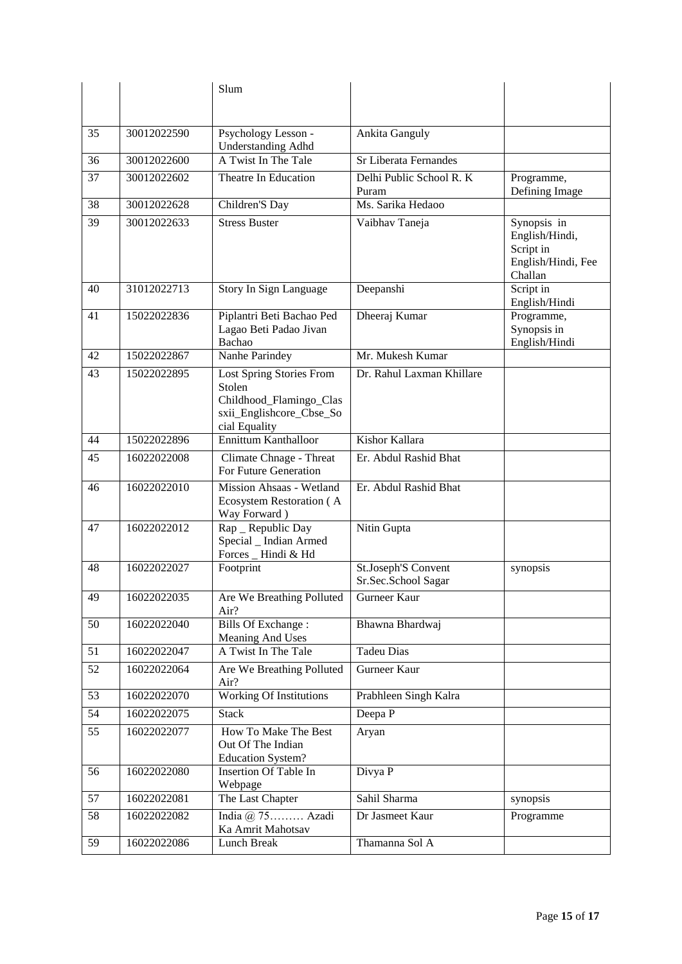|    |             | Slum                                                                                                              |                                            |                                                                             |
|----|-------------|-------------------------------------------------------------------------------------------------------------------|--------------------------------------------|-----------------------------------------------------------------------------|
|    |             |                                                                                                                   |                                            |                                                                             |
| 35 | 30012022590 | Psychology Lesson -<br><b>Understanding Adhd</b>                                                                  | <b>Ankita Ganguly</b>                      |                                                                             |
| 36 | 30012022600 | A Twist In The Tale                                                                                               | <b>Sr Liberata Fernandes</b>               |                                                                             |
| 37 | 30012022602 | Theatre In Education                                                                                              | Delhi Public School R. K<br>Puram          | Programme,<br>Defining Image                                                |
| 38 | 30012022628 | Children'S Day                                                                                                    | Ms. Sarika Hedaoo                          |                                                                             |
| 39 | 30012022633 | <b>Stress Buster</b>                                                                                              | Vaibhav Taneja                             | Synopsis in<br>English/Hindi,<br>Script in<br>English/Hindi, Fee<br>Challan |
| 40 | 31012022713 | Story In Sign Language                                                                                            | Deepanshi                                  | Script in<br>English/Hindi                                                  |
| 41 | 15022022836 | Piplantri Beti Bachao Ped<br>Lagao Beti Padao Jivan<br>Bachao                                                     | Dheeraj Kumar                              | Programme,<br>Synopsis in<br>English/Hindi                                  |
| 42 | 15022022867 | Nanhe Parindey                                                                                                    | Mr. Mukesh Kumar                           |                                                                             |
| 43 | 15022022895 | <b>Lost Spring Stories From</b><br>Stolen<br>Childhood_Flamingo_Clas<br>sxii_Englishcore_Cbse_So<br>cial Equality | Dr. Rahul Laxman Khillare                  |                                                                             |
| 44 | 15022022896 | <b>Ennittum Kanthalloor</b>                                                                                       | Kishor Kallara                             |                                                                             |
| 45 | 16022022008 | Climate Chnage - Threat<br>For Future Generation                                                                  | Er. Abdul Rashid Bhat                      |                                                                             |
| 46 | 16022022010 | Mission Ahsaas - Wetland<br>Ecosystem Restoration (A<br>Way Forward)                                              | Er. Abdul Rashid Bhat                      |                                                                             |
| 47 | 16022022012 | Rap _ Republic Day<br>Special _ Indian Armed<br>Forces _ Hindi & Hd                                               | Nitin Gupta                                |                                                                             |
| 48 | 16022022027 | Footprint                                                                                                         | St.Joseph'S Convent<br>Sr.Sec.School Sagar | synopsis                                                                    |
| 49 | 16022022035 | Are We Breathing Polluted<br>Air?                                                                                 | <b>Gurneer Kaur</b>                        |                                                                             |
| 50 | 16022022040 | Bills Of Exchange:<br>Meaning And Uses                                                                            | Bhawna Bhardwaj                            |                                                                             |
| 51 | 16022022047 | A Twist In The Tale                                                                                               | <b>Tadeu Dias</b>                          |                                                                             |
| 52 | 16022022064 | Are We Breathing Polluted<br>Air?                                                                                 | Gurneer Kaur                               |                                                                             |
| 53 | 16022022070 | <b>Working Of Institutions</b>                                                                                    | Prabhleen Singh Kalra                      |                                                                             |
| 54 | 16022022075 | <b>Stack</b>                                                                                                      | Deepa P                                    |                                                                             |
| 55 | 16022022077 | How To Make The Best<br>Out Of The Indian<br><b>Education System?</b>                                             | Aryan                                      |                                                                             |
| 56 | 16022022080 | Insertion Of Table In<br>Webpage                                                                                  | Divya P                                    |                                                                             |
| 57 | 16022022081 | The Last Chapter                                                                                                  | Sahil Sharma                               | synopsis                                                                    |
| 58 | 16022022082 | India $(a)$ 75 Azadi<br>Ka Amrit Mahotsav                                                                         | Dr Jasmeet Kaur                            | Programme                                                                   |
| 59 | 16022022086 | Lunch Break                                                                                                       | Thamanna Sol A                             |                                                                             |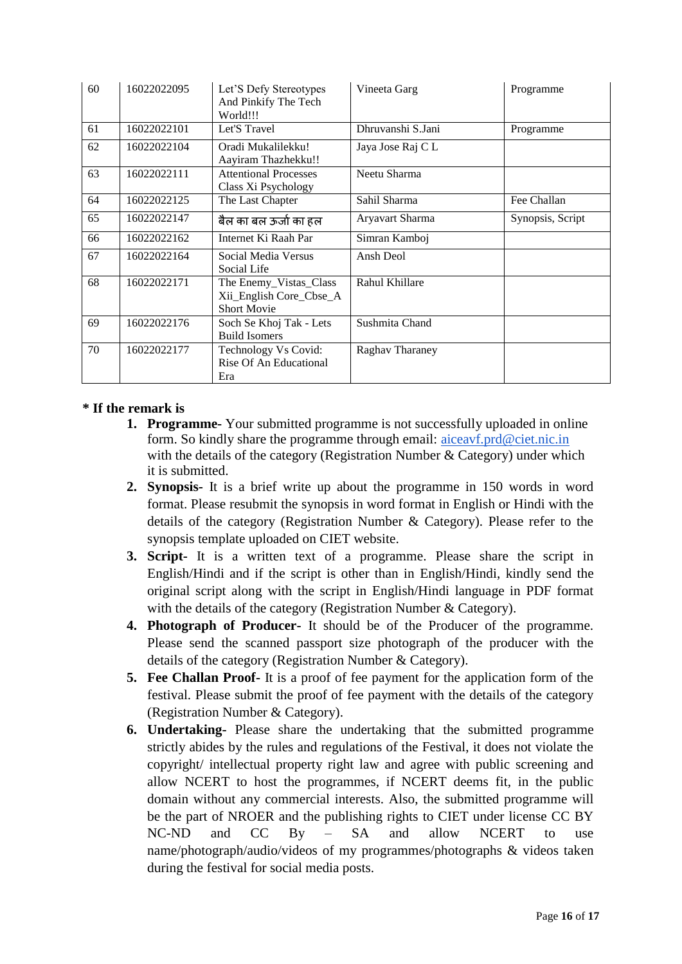| 60 | 16022022095 | Let'S Defy Stereotypes<br>And Pinkify The Tech<br>World!!!              | Vineeta Garg      | Programme        |
|----|-------------|-------------------------------------------------------------------------|-------------------|------------------|
| 61 | 16022022101 | Let'S Travel                                                            | Dhruvanshi S.Jani | Programme        |
| 62 | 16022022104 | Oradi Mukalilekku!<br>Aayiram Thazhekku!!                               | Jaya Jose Raj C L |                  |
| 63 | 16022022111 | <b>Attentional Processes</b><br>Class Xi Psychology                     | Neetu Sharma      |                  |
| 64 | 16022022125 | The Last Chapter                                                        | Sahil Sharma      | Fee Challan      |
| 65 | 16022022147 | बैल का बल ऊर्जा का हल                                                   | Aryavart Sharma   | Synopsis, Script |
| 66 | 16022022162 | Internet Ki Raah Par                                                    | Simran Kamboj     |                  |
| 67 | 16022022164 | Social Media Versus<br>Social Life                                      | Ansh Deol         |                  |
| 68 | 16022022171 | The Enemy_Vistas_Class<br>Xii_English Core_Cbse_A<br><b>Short Movie</b> | Rahul Khillare    |                  |
| 69 | 16022022176 | Soch Se Khoj Tak - Lets<br><b>Build Isomers</b>                         | Sushmita Chand    |                  |
| 70 | 16022022177 | Technology Vs Covid:<br>Rise Of An Educational<br>Era                   | Raghav Tharaney   |                  |

# **\* If the remark is**

- **1. Programme-** Your submitted programme is not successfully uploaded in online form. So kindly share the programme through email: aiceavf.prd@ciet.nic.in with the details of the category (Registration Number & Category) under which it is submitted.
- **2. Synopsis-** It is a brief write up about the programme in 150 words in word format. Please resubmit the synopsis in word format in English or Hindi with the details of the category (Registration Number & Category). Please refer to the synopsis template uploaded on CIET website.
- **3. Script-** It is a written text of a programme. Please share the script in English/Hindi and if the script is other than in English/Hindi, kindly send the original script along with the script in English/Hindi language in PDF format with the details of the category (Registration Number & Category).
- **4. Photograph of Producer-** It should be of the Producer of the programme. Please send the scanned passport size photograph of the producer with the details of the category (Registration Number & Category).
- **5. Fee Challan Proof-** It is a proof of fee payment for the application form of the festival. Please submit the proof of fee payment with the details of the category (Registration Number & Category).
- **6. Undertaking-** Please share the undertaking that the submitted programme strictly abides by the rules and regulations of the Festival, it does not violate the copyright/ intellectual property right law and agree with public screening and allow NCERT to host the programmes, if NCERT deems fit, in the public domain without any commercial interests. Also, the submitted programme will be the part of NROER and the publishing rights to CIET under license CC BY NC-ND and CC By – SA and allow NCERT to use name/photograph/audio/videos of my programmes/photographs & videos taken during the festival for social media posts.